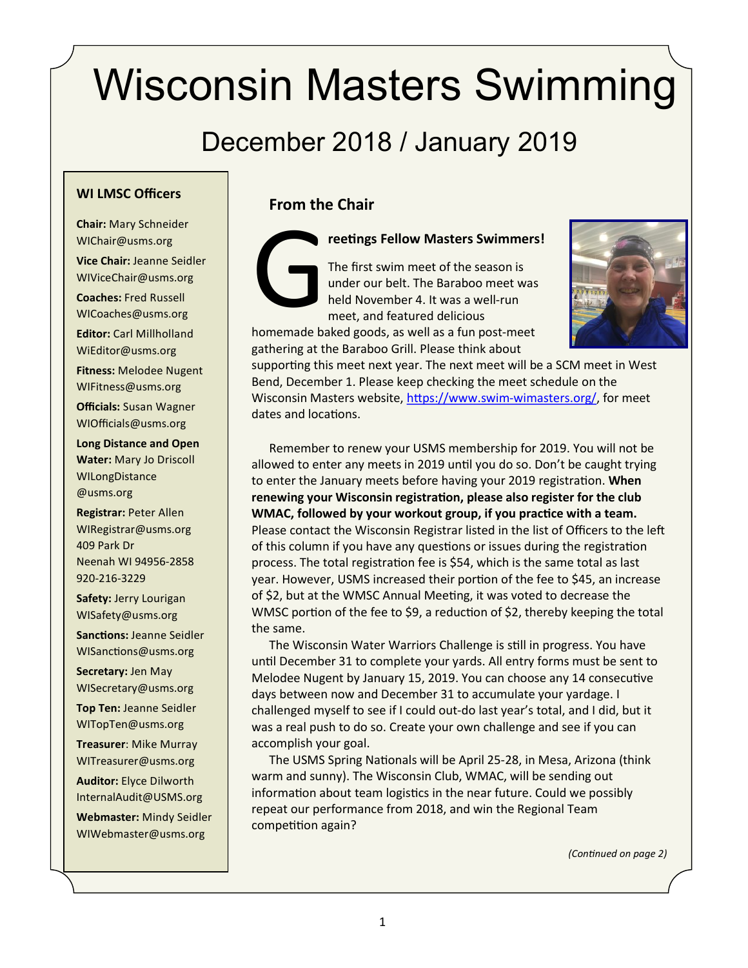# Wisconsin Masters Swimming

# December 2018 / January 2019

#### **WI LMSC Officers**

**Chair:** Mary Schneider WIChair@usms.org **Vice Chair:** Jeanne Seidler

WIViceChair@usms.org

**Coaches:** Fred Russell WICoaches@usms.org

**Editor:** Carl Millholland WiEditor@usms.org

**Fitness:** Melodee Nugent WIFitness@usms.org

**Officials:** Susan Wagner WIOfficials@usms.org

**Long Distance and Open Water:** Mary Jo Driscoll WILongDistance @usms.org

**Registrar:** Peter Allen WIRegistrar@usms.org 409 Park Dr Neenah WI 94956-2858 920-216-3229

**Safety:** Jerry Lourigan WISafety@usms.org

**Sanctions:** Jeanne Seidler WISanctions@usms.org

**Secretary:** Jen May WISecretary@usms.org

**Top Ten:** Jeanne Seidler WITopTen@usms.org

**Treasurer**: Mike Murray WITreasurer@usms.org

**Auditor:** Elyce Dilworth [InternalAudit@USMS.org](mailto:InternalAudit@USMS.org)

**Webmaster:** Mindy Seidler WIWebmaster@usms.org

#### **From the Chair**

G<br>homemade ba

**reetings Fellow Masters Swimmers!**

The first swim meet of the season is under our belt. The Baraboo meet was held November 4. It was a well-run meet, and featured delicious homemade baked goods, as well as a fun post-meet

gathering at the Baraboo Grill. Please think about

supporting this meet next year. The next meet will be a SCM meet in West Bend, December 1. Please keep checking the meet schedule on the Wisconsin Masters website, [https://www.swim](https://www.swim-wimasters.org/)-wimasters.org/, for meet dates and locations.

Remember to renew your USMS membership for 2019. You will not be allowed to enter any meets in 2019 until you do so. Don't be caught trying to enter the January meets before having your 2019 registration. **When renewing your Wisconsin registration, please also register for the club WMAC, followed by your workout group, if you practice with a team.** Please contact the Wisconsin Registrar listed in the list of Officers to the left of this column if you have any questions or issues during the registration process. The total registration fee is \$54, which is the same total as last year. However, USMS increased their portion of the fee to \$45, an increase of \$2, but at the WMSC Annual Meeting, it was voted to decrease the WMSC portion of the fee to \$9, a reduction of \$2, thereby keeping the total the same.

The Wisconsin Water Warriors Challenge is still in progress. You have until December 31 to complete your yards. All entry forms must be sent to Melodee Nugent by January 15, 2019. You can choose any 14 consecutive days between now and December 31 to accumulate your yardage. I challenged myself to see if I could out-do last year's total, and I did, but it was a real push to do so. Create your own challenge and see if you can accomplish your goal.

The USMS Spring Nationals will be April 25-28, in Mesa, Arizona (think warm and sunny). The Wisconsin Club, WMAC, will be sending out information about team logistics in the near future. Could we possibly repeat our performance from 2018, and win the Regional Team competition again?

*(Continued on page 2)*

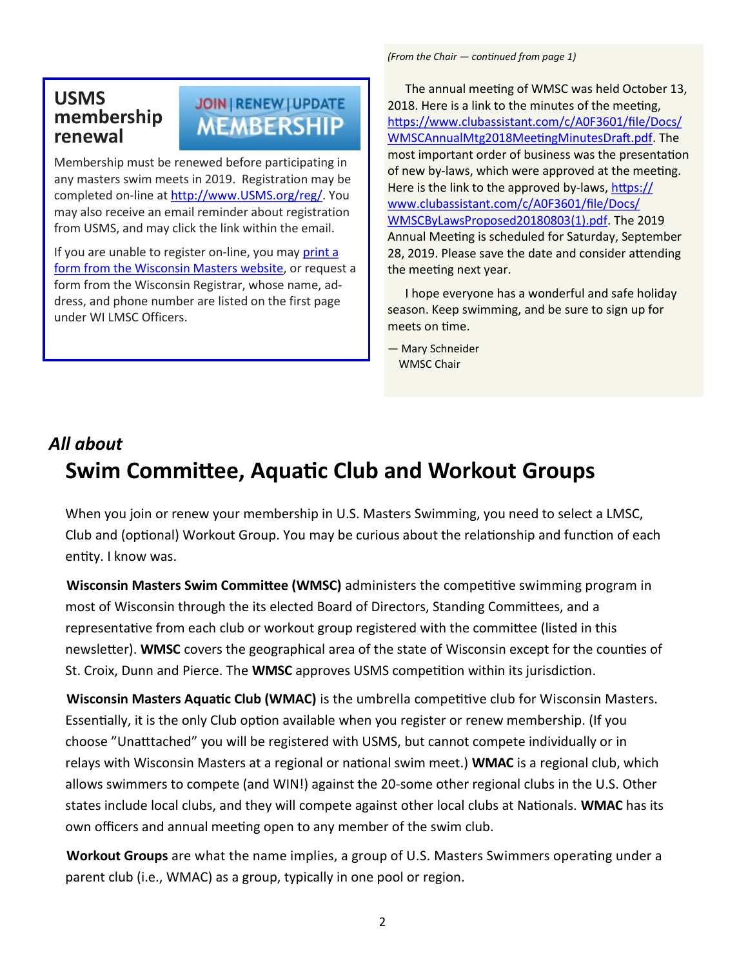### **USMS membership renewal**

## JOIN | RENEW | UPDATE **MEMBERSHIP**

Membership must be renewed before participating in any masters swim meets in 2019. Registration may be completed on-line at [http://www.USMS.org/reg/.](http://www.usms.org/reg/) You may also receive an email reminder about registration from USMS, and may click the link within the email.

If you are unable to register on-line, you may print a [form from the Wisconsin Masters website,](https://www.clubassistant.com/c/A0F3601/file/Docs/regform.pdf) or request a form from the Wisconsin Registrar, whose name, address, and phone number are listed on the first page under WI LMSC Officers.

*(From the Chair — continued from page 1)*

The annual meeting of WMSC was held October 13, 2018. Here is a link to the minutes of the meeting, [https://www.clubassistant.com/c/A0F3601/file/Docs/](https://www.clubassistant.com/c/A0F3601/file/Docs/WMSCAnnualMtg2018MeetingMinutesDraft.pdf) [WMSCAnnualMtg2018MeetingMinutesDraft.pdf.](https://www.clubassistant.com/c/A0F3601/file/Docs/WMSCAnnualMtg2018MeetingMinutesDraft.pdf) The most important order of business was the presentation of new by-laws, which were approved at the meeting. Here is the link to the approved by-laws, [https://](https://www.clubassistant.com/c/A0F3601/file/Docs/WMSCByLawsProposed20180803(1).pdf) [www.clubassistant.com/c/A0F3601/file/Docs/](https://www.clubassistant.com/c/A0F3601/file/Docs/WMSCByLawsProposed20180803(1).pdf) [WMSCByLawsProposed20180803\(1\).pdf.](https://www.clubassistant.com/c/A0F3601/file/Docs/WMSCByLawsProposed20180803(1).pdf) The 2019 Annual Meeting is scheduled for Saturday, September 28, 2019. Please save the date and consider attending the meeting next year.

I hope everyone has a wonderful and safe holiday season. Keep swimming, and be sure to sign up for meets on time.

— Mary Schneider WMSC Chair

# *All about* **Swim Committee, Aquatic Club and Workout Groups**

When you join or renew your membership in U.S. Masters Swimming, you need to select a LMSC, Club and (optional) Workout Group. You may be curious about the relationship and function of each entity. I know was.

**Wisconsin Masters Swim Committee (WMSC)** administers the competitive swimming program in most of Wisconsin through the its elected Board of Directors, Standing Committees, and a representative from each club or workout group registered with the committee (listed in this newsletter). **WMSC** covers the geographical area of the state of Wisconsin except for the counties of St. Croix, Dunn and Pierce. The **WMSC** approves USMS competition within its jurisdiction.

**Wisconsin Masters Aquatic Club (WMAC)** is the umbrella competitive club for Wisconsin Masters. Essentially, it is the only Club option available when you register or renew membership. (If you choose "Unatttached" you will be registered with USMS, but cannot compete individually or in relays with Wisconsin Masters at a regional or national swim meet.) **WMAC** is a regional club, which allows swimmers to compete (and WIN!) against the 20-some other regional clubs in the U.S. Other states include local clubs, and they will compete against other local clubs at Nationals. **WMAC** has its own officers and annual meeting open to any member of the swim club.

**Workout Groups** are what the name implies, a group of U.S. Masters Swimmers operating under a parent club (i.e., WMAC) as a group, typically in one pool or region.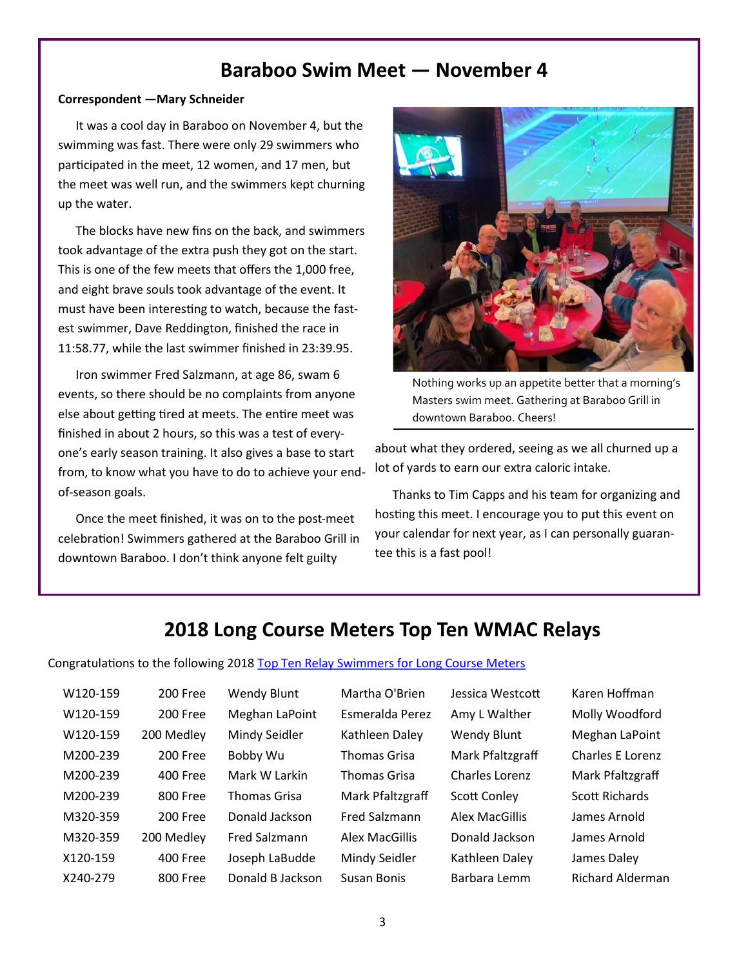### **Baraboo Swim Meet — November 4**

#### **Correspondent —Mary Schneider**

It was a cool day in Baraboo on November 4, but the swimming was fast. There were only 29 swimmers who participated in the meet, 12 women, and 17 men, but the meet was well run, and the swimmers kept churning up the water.

The blocks have new fins on the back, and swimmers took advantage of the extra push they got on the start. This is one of the few meets that offers the 1,000 free, and eight brave souls took advantage of the event. It must have been interesting to watch, because the fastest swimmer, Dave Reddington, finished the race in 11:58.77, while the last swimmer finished in 23:39.95.

Iron swimmer Fred Salzmann, at age 86, swam 6 events, so there should be no complaints from anyone else about getting tired at meets. The entire meet was finished in about 2 hours, so this was a test of everyone's early season training. It also gives a base to start from, to know what you have to do to achieve your endof-season goals.

Once the meet finished, it was on to the post-meet celebration! Swimmers gathered at the Baraboo Grill in downtown Baraboo. I don't think anyone felt guilty



Nothing works up an appetite better that a morning's Masters swim meet. Gathering at Baraboo Grill in downtown Baraboo. Cheers!

about what they ordered, seeing as we all churned up a lot of yards to earn our extra caloric intake.

Thanks to Tim Capps and his team for organizing and hosting this meet. I encourage you to put this event on your calendar for next year, as I can personally guarantee this is a fast pool!

### **2018 Long Course Meters Top Ten WMAC Relays**

Congratulations to the following 2018 [Top Ten Relay Swimmers for Long Course Meters](https://www.usms.org/comp/tt/toptenrelaylmsc.php?Year=2018&CourseID=2&ZoneID=3&LMSCID=20)

| W120-159 | 200 Free   | Wendy           |
|----------|------------|-----------------|
| W120-159 | 200 Free   | Meghar          |
| W120-159 | 200 Medley | Mindy S         |
| M200-239 | 200 Free   | Bobby V         |
| M200-239 | 400 Free   | Mark W          |
| M200-239 | 800 Free   | Thomas          |
| M320-359 | 200 Free   | Donald.         |
| M320-359 | 200 Medley | <b>Fred Sal</b> |
| X120-159 | 400 Free   | Joseph I        |
| X240-279 | 800 Free   | Donald          |

Blunt Martha O'Brien Jessica Westcott Karen Hoffman

1 LaPoint Esmeralda Perez Amy L Walther Molly Woodford W120-159 200 Medley Mindy Seidler Kathleen Daley Wendy Blunt Meghan LaPoint Nu Thomas Grisa Mark Pfaltzgraff Charles E Lorenz Larkin Thomas Grisa Charles Lorenz Mark Pfaltzgraff Grisa Mark Pfaltzgraff Scott Conley Scott Richards M320-359 200 Free Donald Jackson Fred Salzmann Alex MacGillis James Arnold Izmann Alex MacGillis Donald Jackson James Arnold LaBudde Mindy Seidler Kathleen Daley James Daley

R Jackson Susan Bonis Barbara Lemm Richard Alderman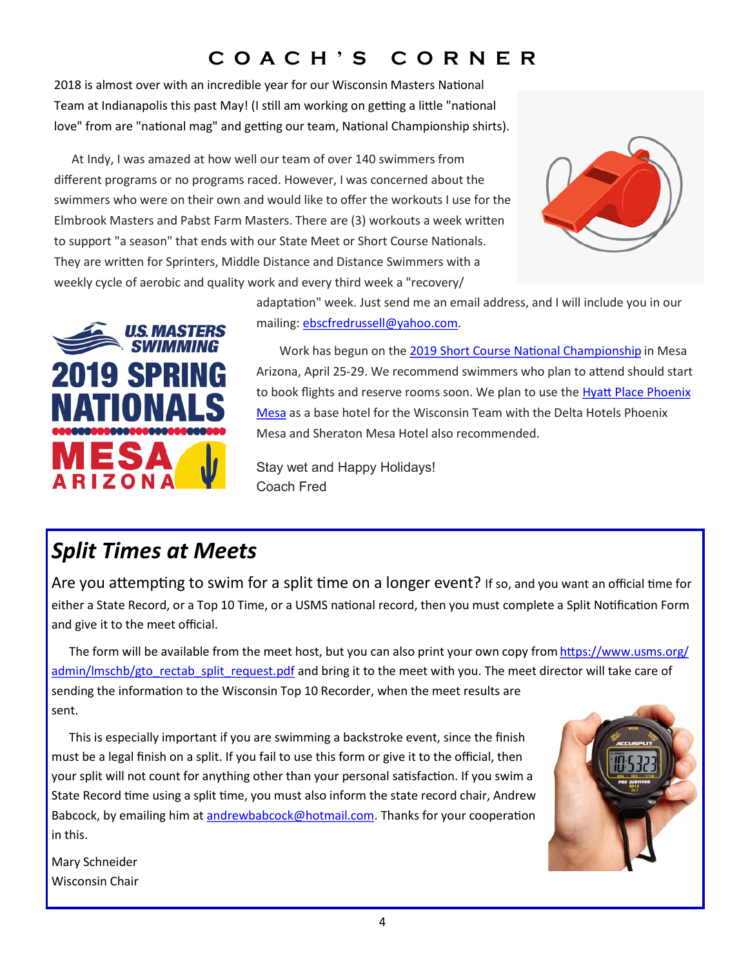# **C O A C H ' S C O R N E R**

2018 is almost over with an incredible year for our Wisconsin Masters National Team at Indianapolis this past May! (I still am working on getting a little "national love" from are "national mag" and getting our team, National Championship shirts).

At Indy, I was amazed at how well our team of over 140 swimmers from different programs or no programs raced. However, I was concerned about the swimmers who were on their own and would like to offer the workouts I use for the Elmbrook Masters and Pabst Farm Masters. There are (3) workouts a week written to support "a season" that ends with our State Meet or Short Course Nationals. They are written for Sprinters, Middle Distance and Distance Swimmers with a weekly cycle of aerobic and quality work and every third week a "recovery/





adaptation" week. Just send me an email address, and I will include you in our mailing: [ebscfredrussell@yahoo.com.](mailto:ebscfredrussell@yahoo.com)

Work has begun on the [2019 Short Course National Championship](https://www.usms.org/events/national-championships/pool-national-championships/2019-pool-national-championships/2019-spring-national-championship) in Mesa Arizona, April 25-29. We recommend swimmers who plan to attend should start to book flights and reserve rooms soon. We plan to use the [Hyatt Place Phoenix](https://www.hyatt.com/en-US/hotel/arizona/hyatt-place-phoenix-mesa/phxzm)  [Mesa](https://www.hyatt.com/en-US/hotel/arizona/hyatt-place-phoenix-mesa/phxzm) as a base hotel for the Wisconsin Team with the Delta Hotels Phoenix Mesa and Sheraton Mesa Hotel also recommended.

Stay wet and Happy Holidays! Coach Fred

# *Split Times at Meets*

Are you attempting to swim for a split time on a longer event? If so, and you want an official time for either a State Record, or a Top 10 Time, or a USMS national record, then you must complete a Split Notification Form and give it to the meet official.

The form will be available from the meet host, but you can also print your own copy from [https://www.usms.org/](https://www.usms.org/admin/lmschb/gto_rectab_split_request.pdf) [admin/lmschb/gto\\_rectab\\_split\\_request.pdf](https://www.usms.org/admin/lmschb/gto_rectab_split_request.pdf) and bring it to the meet with you. The meet director will take care of sending the information to the Wisconsin Top 10 Recorder, when the meet results are sent.

This is especially important if you are swimming a backstroke event, since the finish must be a legal finish on a split. If you fail to use this form or give it to the official, then your split will not count for anything other than your personal satisfaction. If you swim a State Record time using a split time, you must also inform the state record chair, Andrew Babcock, by emailing him at [andrewbabcock@hotmail.com.](mailto:andrewbabcock@hotmail.com) Thanks for your cooperation in this.



Mary Schneider Wisconsin Chair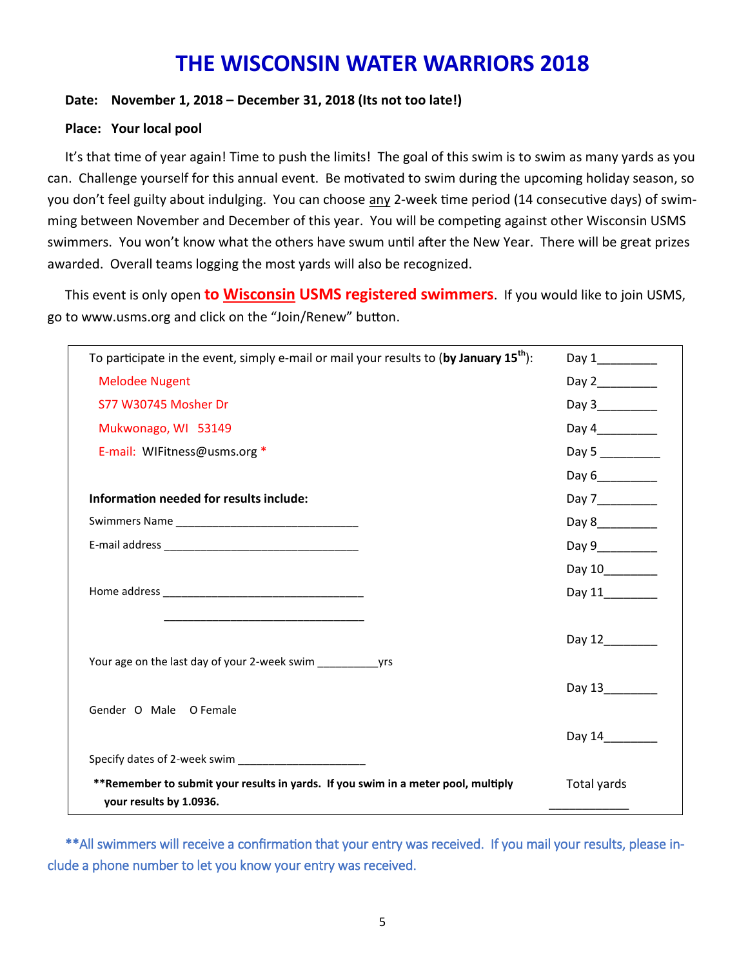# **THE WISCONSIN WATER WARRIORS 2018**

#### **Date: November 1, 2018 – December 31, 2018 (Its not too late!)**

#### **Place: Your local pool**

It's that time of year again! Time to push the limits! The goal of this swim is to swim as many yards as you can. Challenge yourself for this annual event. Be motivated to swim during the upcoming holiday season, so you don't feel guilty about indulging. You can choose any 2-week time period (14 consecutive days) of swimming between November and December of this year. You will be competing against other Wisconsin USMS swimmers. You won't know what the others have swum until after the New Year. There will be great prizes awarded. Overall teams logging the most yards will also be recognized.

This event is only open **to Wisconsin USMS registered swimmers**. If you would like to join USMS, go to www.usms.org and click on the "Join/Renew" button.

| To participate in the event, simply e-mail or mail your results to (by January $15th$ ):                     |                  |
|--------------------------------------------------------------------------------------------------------------|------------------|
| <b>Melodee Nugent</b>                                                                                        |                  |
| S77 W30745 Mosher Dr                                                                                         | Day 3___________ |
| Mukwonago, WI 53149                                                                                          | Day 4__________  |
| E-mail: WIFitness@usms.org *                                                                                 | Day 5            |
|                                                                                                              |                  |
| Information needed for results include:                                                                      | Day 7__________  |
|                                                                                                              | Day 8___________ |
|                                                                                                              | Day 9__________  |
|                                                                                                              | Day 10_________  |
|                                                                                                              | Day 11           |
|                                                                                                              |                  |
|                                                                                                              | Day 12_______    |
| Your age on the last day of your 2-week swim yrs                                                             |                  |
|                                                                                                              | Day 13           |
| Gender O Male O Female                                                                                       |                  |
|                                                                                                              | Day 14           |
|                                                                                                              |                  |
| **Remember to submit your results in yards. If you swim in a meter pool, multiply<br>your results by 1.0936. | Total yards      |

\*\*All swimmers will receive a confirmation that your entry was received. If you mail your results, please include a phone number to let you know your entry was received.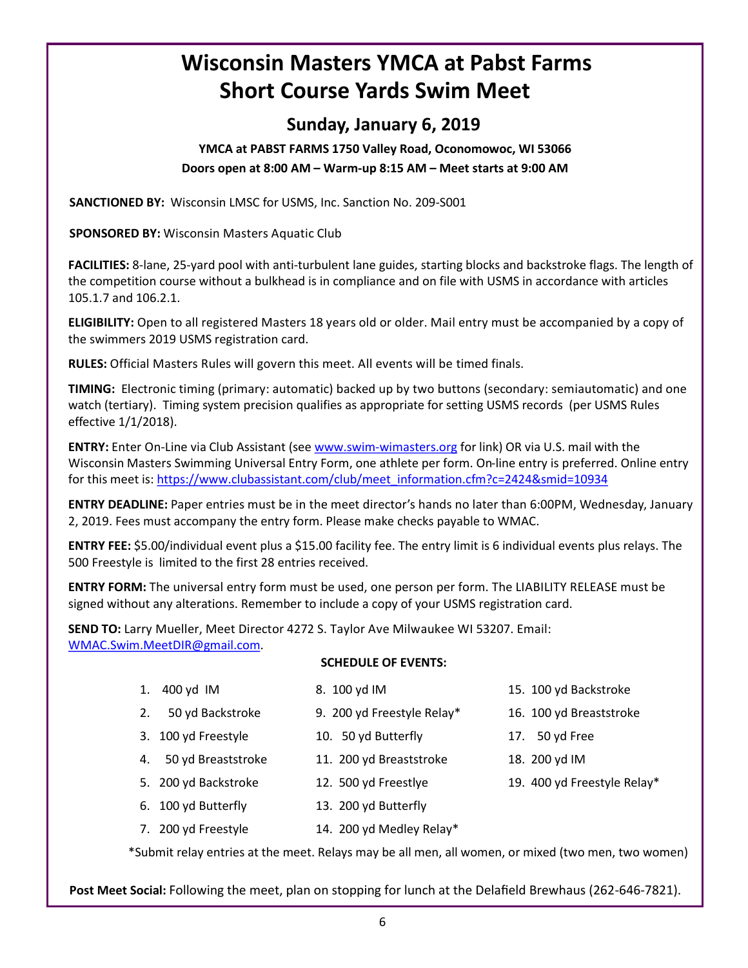# 6

# **Wisconsin Masters YMCA at Pabst Farms Short Course Yards Swim Meet**

### **Sunday, January 6, 2019**

**YMCA at PABST FARMS 1750 Valley Road, Oconomowoc, WI 53066 Doors open at 8:00 AM – Warm-up 8:15 AM – Meet starts at 9:00 AM**

**SANCTIONED BY:** Wisconsin LMSC for USMS, Inc. Sanction No. 209-S001

**SPONSORED BY:** Wisconsin Masters Aquatic Club

**FACILITIES:** 8-lane, 25-yard pool with anti-turbulent lane guides, starting blocks and backstroke flags. The length of the competition course without a bulkhead is in compliance and on file with USMS in accordance with articles 105.1.7 and 106.2.1.

**ELIGIBILITY:** Open to all registered Masters 18 years old or older. Mail entry must be accompanied by a copy of the swimmers 2019 USMS registration card.

**RULES:** Official Masters Rules will govern this meet. All events will be timed finals.

**TIMING:** Electronic timing (primary: automatic) backed up by two buttons (secondary: semiautomatic) and one watch (tertiary). Timing system precision qualifies as appropriate for setting USMS records (per USMS Rules effective 1/1/2018).

**ENTRY:** Enter On-Line via Club Assistant (see www.swim-[wimasters.org](http://www.swim-wimasters.org) for link) OR via U.S. mail with the Wisconsin Masters Swimming Universal Entry Form, one athlete per form. On-line entry is preferred. Online entry for this meet is: [https://www.clubassistant.com/club/meet\\_information.cfm?c=2424&smid=10934](https://www.clubassistant.com/club/meet_information.cfm?c=2424&smid=10934)

**ENTRY DEADLINE:** Paper entries must be in the meet director's hands no later than 6:00PM, Wednesday, January 2, 2019. Fees must accompany the entry form. Please make checks payable to WMAC.

**ENTRY FEE:** \$5.00/individual event plus a \$15.00 facility fee. The entry limit is 6 individual events plus relays. The 500 Freestyle is limited to the first 28 entries received.

**ENTRY FORM:** The universal entry form must be used, one person per form. The LIABILITY RELEASE must be signed without any alterations. Remember to include a copy of your USMS registration card.

**SEND TO:** Larry Mueller, Meet Director 4272 S. Taylor Ave Milwaukee WI 53207. Email: [WMAC.Swim.MeetDIR@gmail.com.](mailto:%20WMAC.Swm.MeetDir@gmail.com?subject=Pasbt%20Farms%20Swim%20Meet%202018) 

#### **SCHEDULE OF EVENTS:**

- 1. 400 yd IM 8. 100 yd IM 15. 100 yd Backstroke
- 2. 50 yd Backstroke 9. 200 yd Freestyle Relay\* 16. 100 yd Breaststroke
- 3. 100 yd Freestyle 10. 50 yd Butterfly 17. 50 yd Free
- 4. 50 yd Breaststroke 11. 200 yd Breaststroke 18. 200 yd IM
- 
- 6. 100 yd Butterfly 13. 200 yd Butterfly
- 7. 200 yd Freestyle 14. 200 yd Medley Relay\*

\*Submit relay entries at the meet. Relays may be all men, all women, or mixed (two men, two women)

**Post Meet Social:** Following the meet, plan on stopping for lunch at the Delafield Brewhaus (262-646-7821).

- 
- 
- 
- 
- 5. 200 yd Backstroke 12. 500 yd Freestlye 19. 400 yd Freestyle Relay\*
- -
-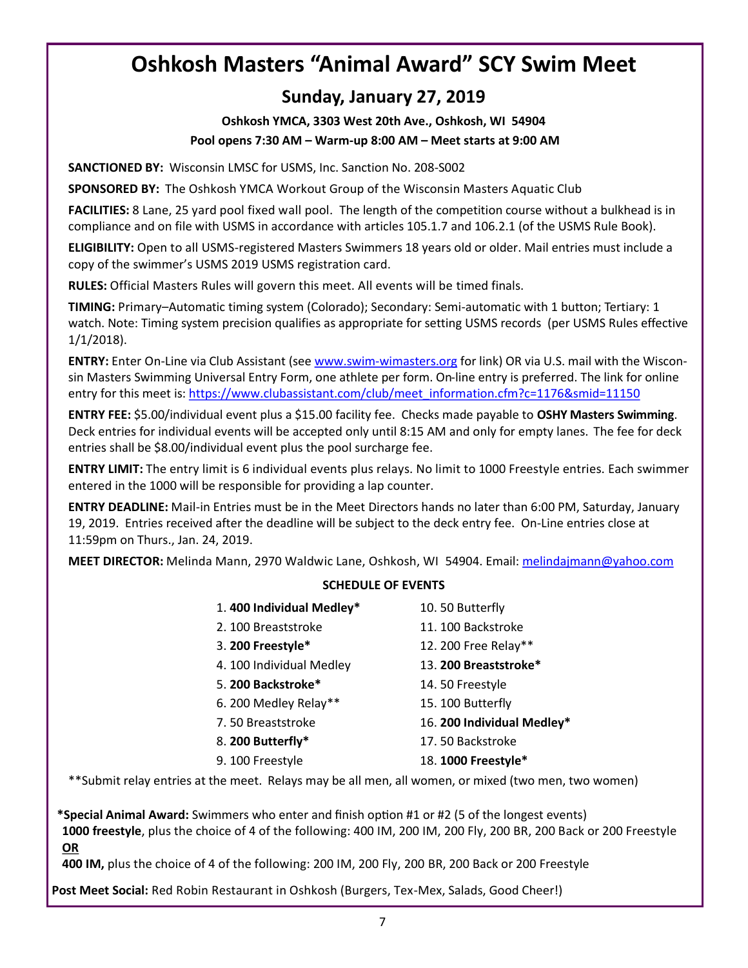# **Oshkosh Masters "Animal Award" SCY Swim Meet**

### **Sunday, January 27, 2019**

#### **Oshkosh YMCA, 3303 West 20th Ave., Oshkosh, WI 54904 Pool opens 7:30 AM – Warm-up 8:00 AM – Meet starts at 9:00 AM**

**SANCTIONED BY:** Wisconsin LMSC for USMS, Inc. Sanction No. 208-S002

**SPONSORED BY:** The Oshkosh YMCA Workout Group of the Wisconsin Masters Aquatic Club

**FACILITIES:** 8 Lane, 25 yard pool fixed wall pool. The length of the competition course without a bulkhead is in compliance and on file with USMS in accordance with articles 105.1.7 and 106.2.1 (of the USMS Rule Book).

**ELIGIBILITY:** Open to all USMS-registered Masters Swimmers 18 years old or older. Mail entries must include a copy of the swimmer's USMS 2019 USMS registration card.

**RULES:** Official Masters Rules will govern this meet. All events will be timed finals.

**TIMING:** Primary–Automatic timing system (Colorado); Secondary: Semi-automatic with 1 button; Tertiary: 1 watch. Note: Timing system precision qualifies as appropriate for setting USMS records (per USMS Rules effective 1/1/2018).

**ENTRY:** Enter On-Line via Club Assistant (see www.swim-[wimasters.org](http://www.swim-wimasters.org) for link) OR via U.S. mail with the Wisconsin Masters Swimming Universal Entry Form, one athlete per form. On-line entry is preferred. The link for online entry for this meet is: [https://www.clubassistant.com/club/meet\\_information.cfm?c=1176&smid=11150](https://www.clubassistant.com/club/meet_information.cfm?c=1176&smid=11150)

**ENTRY FEE:** \$5.00/individual event plus a \$15.00 facility fee. Checks made payable to **OSHY Masters Swimming**. Deck entries for individual events will be accepted only until 8:15 AM and only for empty lanes. The fee for deck entries shall be \$8.00/individual event plus the pool surcharge fee.

**ENTRY LIMIT:** The entry limit is 6 individual events plus relays. No limit to 1000 Freestyle entries. Each swimmer entered in the 1000 will be responsible for providing a lap counter.

**ENTRY DEADLINE:** Mail-in Entries must be in the Meet Directors hands no later than 6:00 PM, Saturday, January 19, 2019. Entries received after the deadline will be subject to the deck entry fee. On-Line entries close at 11:59pm on Thurs., Jan. 24, 2019.

**MEET DIRECTOR:** Melinda Mann, 2970 Waldwic Lane, Oshkosh, WI 54904. Email: [melindajmann@yahoo.com](mailto:melindajmann@aol.com?subject=Oshkosh%20Y%20Swim%20Meet%20Entry)

#### **SCHEDULE OF EVENTS**

| 1.400 Individual Medley* | 10.50 Butterfly            |
|--------------------------|----------------------------|
| 2. 100 Breaststroke      | 11.100 Backstroke          |
| 3. 200 Freestyle*        | 12. 200 Free Relay**       |
| 4. 100 Individual Medley | 13. 200 Breaststroke*      |
| 5. 200 Backstroke*       | 14.50 Freestyle            |
| 6. 200 Medley Relay**    | 15.100 Butterfly           |
| 7.50 Breaststroke        | 16. 200 Individual Medley* |
| 8. 200 Butterfly*        | 17.50 Backstroke           |
| 9. 100 Freestyle         | 18. 1000 Freestyle*        |
|                          |                            |

\*\*Submit relay entries at the meet. Relays may be all men, all women, or mixed (two men, two women)

**\*Special Animal Award:** Swimmers who enter and finish option #1 or #2 (5 of the longest events) **1000 freestyle**, plus the choice of 4 of the following: 400 IM, 200 IM, 200 Fly, 200 BR, 200 Back or 200 Freestyle **OR**

**400 IM,** plus the choice of 4 of the following: 200 IM, 200 Fly, 200 BR, 200 Back or 200 Freestyle

**Post Meet Social:** Red Robin Restaurant in Oshkosh (Burgers, Tex-Mex, Salads, Good Cheer!)